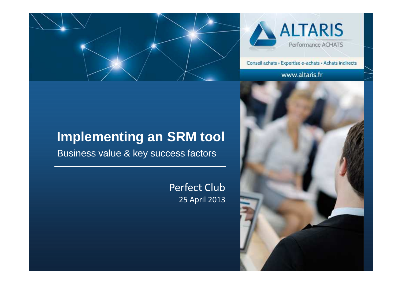



Conseil achats · Expertise e-achats · Achats indirects

#### www.altaris.fr





# **Implementing an SRM tool**

Business value & key success factors

### Perfect Club 25 April 2013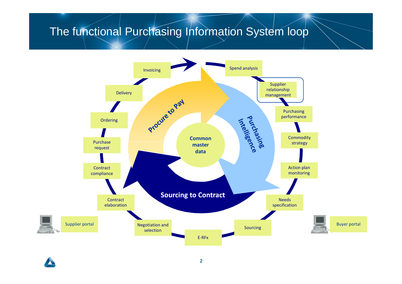## The functional Purchasing Information System loop

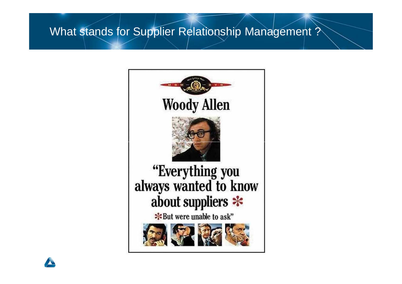### What stands for Supplier Relationship Management ?



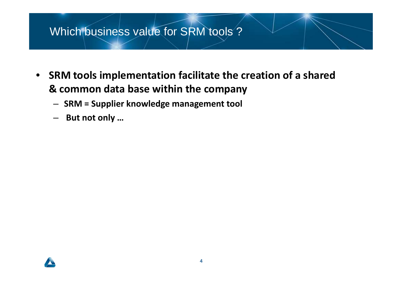## Which business value for SRM tools ?

- **SRM tools implementation facilitate the creation of a shared & common data base within the company**
	- **SRM = Supplier knowledge management tool**
	- –**But not only …**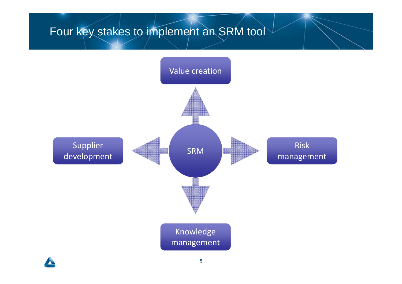# Four key stakes to implement an SRM tool

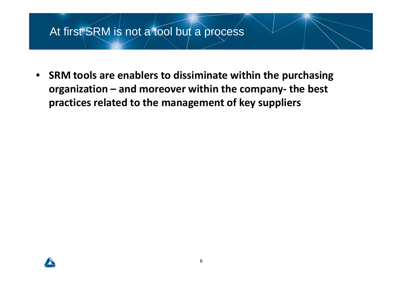### At first SRM is not a tool but a process

 $\bullet$  **SRM tools are enablers to dissiminate within the purchasing organization – and moreover within the company- the best practices related to the management of key suppliers**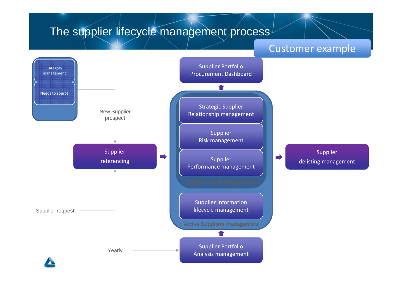#### The supplier lifecycle management process Supplier Risk managementStrategic Supplier Relationship managementSupplier Portfolio Procurement DashboardCategory managementNeeds to sourceNew Supplier prospectCustomer example*Prearly Prearly Analysis management* Supplier Information lifecycle managementSupplier delisting managementSupplier Performance management **Active Suppliers management**Supplier referencingSupplier PortfolioSupplier request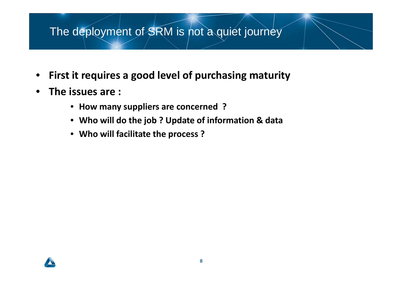## The deployment of SRM is not a quiet journey

- $\bullet$ **First it requires a good level of purchasing maturity**
- $\bullet$  **The issues are :** 
	- **How many suppliers are concerned ?**
	- **Who will do the job ? Update of information & data**
	- **Who will facilitate the process ?**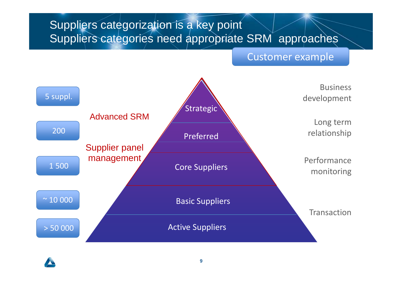# Suppliers categorization is a key pointSuppliers categories need appropriate SRM approaches

#### Customer example



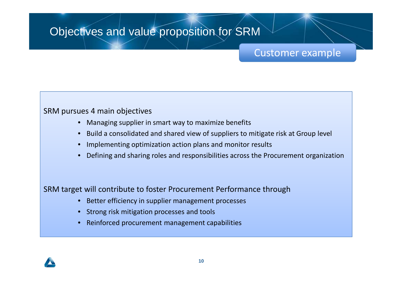## Objectives and value proposition for SRM

### Customer example

#### SRM pursues 4 main objectives

- •Managing supplier in smart way to maximize benefits
- •Build a consolidated and shared view of suppliers to mitigate risk at Group level
- •Implementing optimization action plans and monitor results
- •Defining and sharing roles and responsibilities across the Procurement organization

#### SRM target will contribute to foster Procurement Performance through

- •Better efficiency in supplier management processes
- •Strong risk mitigation processes and tools
- $\bullet$ Reinforced procurement management capabilities

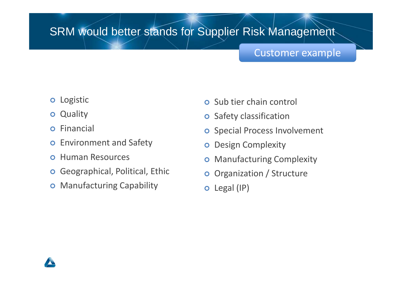## SRM would better stands for Supplier Risk Management

### Customer example

- **o** Logistic
- **o** Quality
- $\bullet$ Financial
- $\bullet$ Environment and Safety
- **o** Human Resources
- **o** Geographical, Political, Ethic
- **o** Manufacturing Capability
- **o** Sub tier chain control
- **o** Safety classification
- **o** Special Process Involvement
- **o** Design Complexity
- $\bullet$ Manufacturing Complexity
- $\bullet$ Organization / Structure
- o Legal (IP)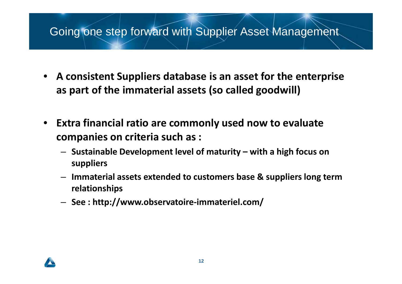### Going one step forward with Supplier Asset Management

- $\bullet$  **A consistent Suppliers database is an asset for the enterprise as part of the immaterial assets (so called goodwill)**
- • **Extra financial ratio are commonly used now to evaluate companies on criteria such as :**
	- **Sustainable Development level of maturity – with a high focus on suppliers**
	- **Immaterial assets extended to customers base & suppliers long term relationships**
	- **See : http://www.observatoire-immateriel.com/**

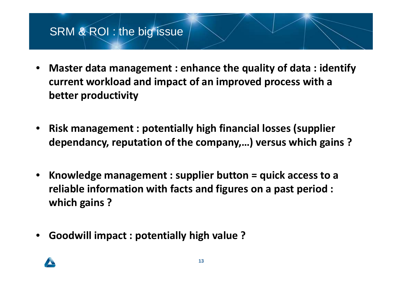### SRM & ROI : the big issue

- • **Master data management : enhance the quality of data : identify current workload and impact of an improved process with a better productivity**
- • **Risk management : potentially high financial losses (supplier dependancy, reputation of the company,…) versus which gains ?**
- • **Knowledge management : supplier button = quick access to a reliable information with facts and figures on a past period : which gains ?**
- •**Goodwill impact : potentially high value ?**